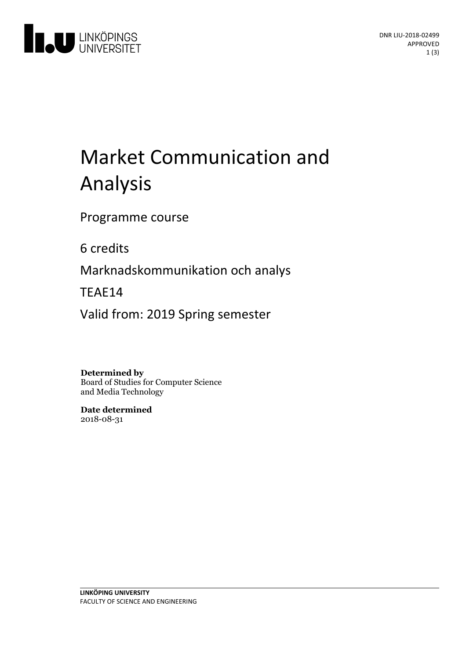

# Market Communication and Analysis

Programme course

6 credits

Marknadskommunikation och analys

TEAE14

Valid from: 2019 Spring semester

**Determined by**

Board of Studies for Computer Science and Media Technology

**Date determined** 2018-08-31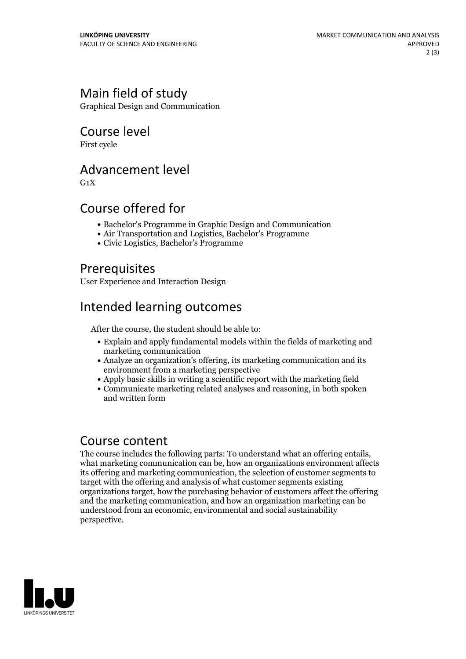## Main field of study

Graphical Design and Communication

#### Course level

First cycle

#### Advancement level

 $G_1X$ 

#### Course offered for

- Bachelor's Programme in Graphic Design and Communication
- Air Transportation and Logistics, Bachelor's Programme
- Civic Logistics, Bachelor's Programme

#### Prerequisites

User Experience and Interaction Design

# Intended learning outcomes

After the course, the student should be able to:

- Explain and apply fundamental models within the fields of marketing and marketing communication
- Analyze an organization's offering, its marketing communication and its environment from a marketing perspective
- Apply basic skills in writing a scientific report with the marketing field
- Communicate marketing related analyses and reasoning, in both spoken and written form

#### Course content

The course includes the following parts: To understand what an offering entails, what marketing communication can be, how an organizations environment affects its offering and marketing communication, the selection of customer segments to target with the offering and analysis of what customer segments existing organizations target, how the purchasing behavior of customers affect the offering and the marketing communication, and how an organization marketing can be understood from an economic, environmental and social sustainability perspective.